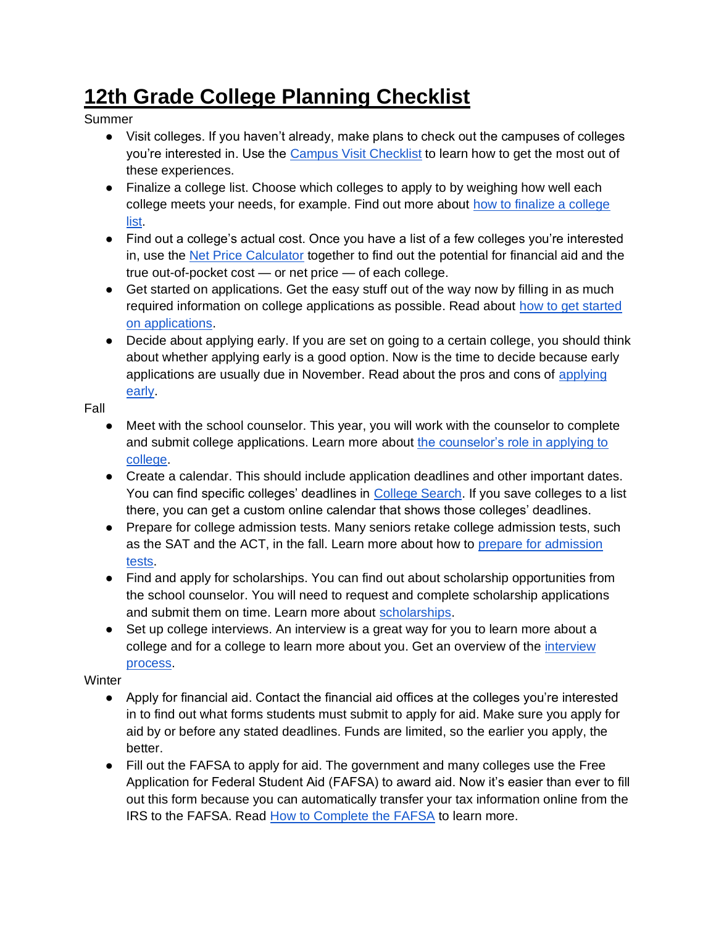## **12th Grade College Planning Checklist**

Summer

- Visit colleges. If you haven't already, make plans to check out the campuses of colleges you're interested in. Use the [Campus Visit Checklist](https://bigfuture.collegeboard.org/find-colleges/campus-visit-guide/campus-visit-checklist) to learn how to get the most out of these experiences.
- Finalize a college list. Choose which colleges to apply to by weighing how well each college meets your needs, for example. Find out more about [how to finalize a college](https://bigfuture.collegeboard.org/get-in/applying-101/how-to-finalize-your-college-list-admissions-college-application)  [list.](https://bigfuture.collegeboard.org/get-in/applying-101/how-to-finalize-your-college-list-admissions-college-application)
- Find out a college's actual cost. Once you have a list of a few colleges you're interested in, use the [Net Price Calculator](http://netpricecalculator.collegeboard.org/participating-schools) together to find out the potential for financial aid and the true out-of-pocket cost — or net price — of each college.
- Get started on applications. Get the easy stuff out of the way now by filling in as much required information on college applications as possible. Read about [how to get started](https://bigfuture.collegeboard.org/get-in/applying-101/college-applications-how-to-begin-admissions)  [on applications.](https://bigfuture.collegeboard.org/get-in/applying-101/college-applications-how-to-begin-admissions)
- Decide about applying early. If you are set on going to a certain college, you should think about whether applying early is a good option. Now is the time to decide because early applications are usually due in November. Read about the pros and cons of [applying](https://bigfuture.collegeboard.org/get-in/applying-101/the-facts-about-applying-early-is-it-right-for-you)  [early.](https://bigfuture.collegeboard.org/get-in/applying-101/the-facts-about-applying-early-is-it-right-for-you)

Fall

- Meet with the school counselor. This year, you will work with the counselor to complete and submit college applications. Learn more about [the counselor's role in applying to](https://bigfuture.collegeboard.org/get-in/applying-101/applying-to-college-your-counselors-role)  [college.](https://bigfuture.collegeboard.org/get-in/applying-101/applying-to-college-your-counselors-role)
- Create a calendar. This should include application deadlines and other important dates. You can find specific colleges' deadlines in [College Search.](https://bigfuture.collegeboard.org/college-search) If you save colleges to a list there, you can get a custom online calendar that shows those colleges' deadlines.
- Prepare for college admission tests. Many seniors retake college admission tests, such as the SAT and the ACT, in the fall. Learn more about how to [prepare for admission](https://bigfuture.collegeboard.org/get-in/testing/how-to-prepare-for-admission-tests)  [tests.](https://bigfuture.collegeboard.org/get-in/testing/how-to-prepare-for-admission-tests)
- Find and apply for scholarships. You can find out about scholarship opportunities from the school counselor. You will need to request and complete scholarship applications and submit them on time. Learn more about [scholarships.](https://bigfuture.collegeboard.org/pay-for-college/grants-and-scholarships/where-to-find-college-scholarships)
- Set up college interviews. An interview is a great way for you to learn more about a college and for a college to learn more about you. Get an overview of the *interview* [process.](https://bigfuture.collegeboard.org/get-in/interviews/college-interviews-the-basics)

Winter

- Apply for financial aid. Contact the financial aid offices at the colleges you're interested in to find out what forms students must submit to apply for aid. Make sure you apply for aid by or before any stated deadlines. Funds are limited, so the earlier you apply, the better.
- Fill out the FAFSA to apply for aid. The government and many colleges use the Free Application for Federal Student Aid (FAFSA) to award aid. Now it's easier than ever to fill out this form because you can automatically transfer your tax information online from the IRS to the FAFSA. Read [How to Complete the FAFSA](https://bigfuture.collegeboard.org/pay-for-college/financial-aid-101/how-to-complete-the-fafsa) to learn more.